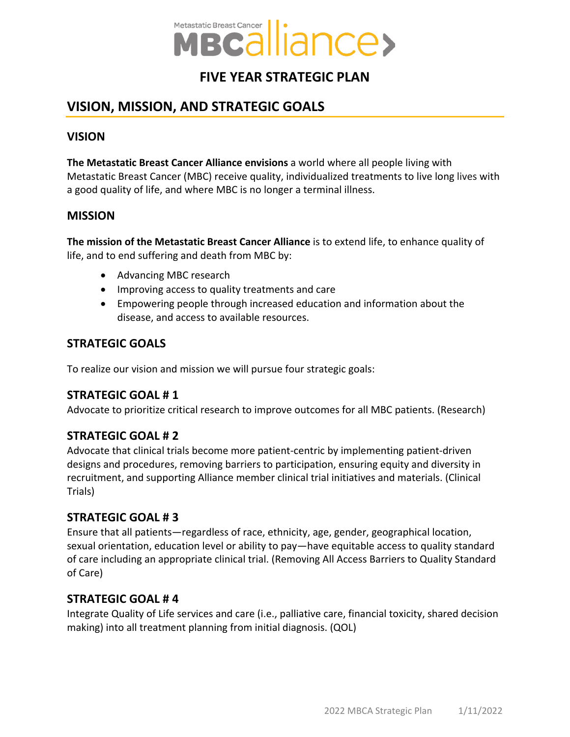

# **FIVE YEAR STRATEGIC PLAN**

# **VISION, MISSION, AND STRATEGIC GOALS**

### **VISION**

**The Metastatic Breast Cancer Alliance envisions** a world where all people living with Metastatic Breast Cancer (MBC) receive quality, individualized treatments to live long lives with a good quality of life, and where MBC is no longer a terminal illness.

#### **MISSION**

**The mission of the Metastatic Breast Cancer Alliance** is to extend life, to enhance quality of life, and to end suffering and death from MBC by:

- Advancing MBC research
- Improving access to quality treatments and care
- Empowering people through increased education and information about the disease, and access to available resources.

### **STRATEGIC GOALS**

To realize our vision and mission we will pursue four strategic goals:

### **STRATEGIC GOAL # 1**

Advocate to prioritize critical research to improve outcomes for all MBC patients. (Research)

### **STRATEGIC GOAL # 2**

Advocate that clinical trials become more patient-centric by implementing patient-driven designs and procedures, removing barriers to participation, ensuring equity and diversity in recruitment, and supporting Alliance member clinical trial initiatives and materials. (Clinical Trials)

#### **STRATEGIC GOAL # 3**

Ensure that all patients—regardless of race, ethnicity, age, gender, geographical location, sexual orientation, education level or ability to pay—have equitable access to quality standard of care including an appropriate clinical trial. (Removing All Access Barriers to Quality Standard of Care)

#### **STRATEGIC GOAL # 4**

Integrate Quality of Life services and care (i.e., palliative care, financial toxicity, shared decision making) into all treatment planning from initial diagnosis. (QOL)